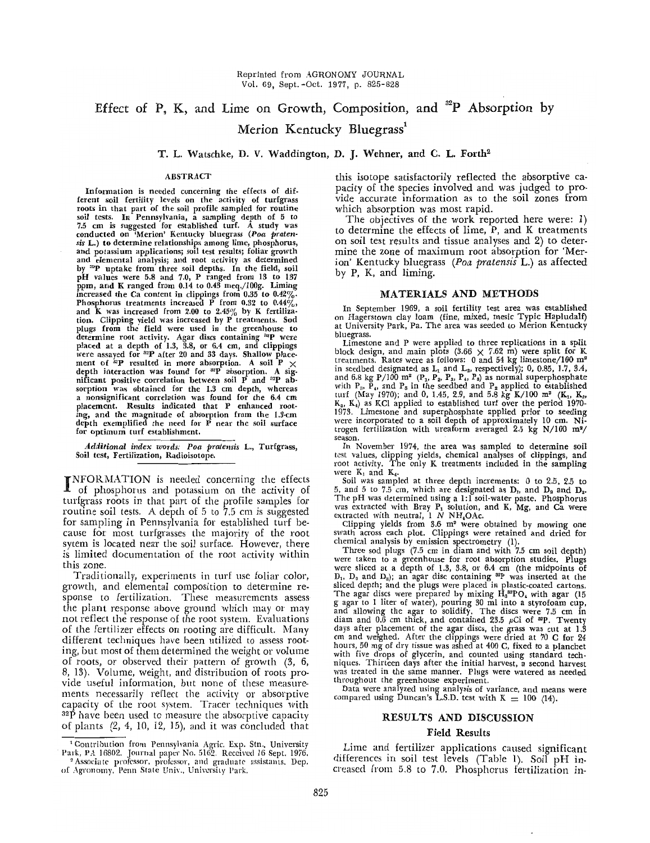# Effect of P, K, and Lime on Growth, Composition, and  $^{32}P$  Absorption by Merion Kentucky Bluegrass<sup>1</sup>

T. L. Watschke, D. V. Waddington, D. J. Wehner, and C. L. Forth2

Information is needed concerning the effects of different soil fertility levels on the activity of turfgrass roots in that part of the soil profile sampled for routine soil tests. In Pennsylvania, a sampling depth of 5 to 7.5 em is suggested for established turf. A study was cond ucted on 'Merion' Kentucky bluegrass *(Poa pratensis* L.) to determine relationships among lime, phosphorus, and potassium applications; soil test results; foliar growth and elemental analysis; and root activity as determined<br>by <sup>32</sup>P uptake from three soil depths. In the field, soil<br>pH values were 5.8 and 7.0, P ranged from 13 to 137<br>ppm, and K ranged from 0.14 to 0.43 meq./100g. Liming<br> Phosphorus treatments increased P from 0.32 to  $0.44\%$ , and K was increased from 2.00 to 2.45% by K fertiliza-<br>tion. Clipping yield was increased by P treatments. Sod<br>plugs from the field were used in the greenhouse to<br>determine root activity. Agar discs containing <sup>32</sup>P were<br> ment of  $^{ix}P$  resulted in more absorption. A soil  $^{7}$   $\times$ depth interaction was found for "'P absorption. A sig-nificant positive correlation between soil P and "2P absorption was obtained for the 1.3 em depth, whereas a nonsignificant correlation was found for the 6.4 em placement. Results indicated that P enhanced rooting, and the magnitude of absorption from the I.3-cm depth exemplified the need for P near the soil surface for optimum turf establishment.

*.4dditiOllal index words: Poa pratemis* L., Turfgrass, Soil test, Fertilization, Radioisotope.

INFORMATION is needed concerning the effects of phosphorus and potassium on the activity of of phosphorus and potassium on the activity of turfgrass roots in that part of the profile samples for routine soil tests. A depth of 5 to 7.5 em is suggested for sampling in Pennsylvania for established turf because for most turfgrasses the majority of the root sytem is located near the soil surface. However, there is limited documentation of the root activity within this zone.

Traditionally, experiments in turf use foliar color, growth, and elemental composition to determine response to fertilization. These measurements assess the plant response above ground which may or may not reflect the response of the root system. Evaluations of the fertilizer effects on rooting are difficult. Many different techniques have been utilized to assess rooting, but most of them determined the weight or volume of roots, or observed their pattern of growth (3, 6, 8, 13). Volume, weight, and distribution of roots pro· vide useful information, but none of these measurements necessarily reflect the activity or absorptive capacity of the root system. Tracer techniques with  $32\hat{P}$  have been used to measure the absorptive capacity of plants  $(2, 4, 10, 12, 15)$ , and it was concluded that

ABSTRACT this isotope satisfactorily reflected the absorptive capacity of the species involved and was judged to provide accurate information as to the soil zones from which absorption was most rapid.

The objectives of the work reported here were: 1) to determine the effects of lime, P, and K treatments on soil test results and tissue analyses and 2) to determine the zone of maximum root absorption for 'Merion' Kentucky bluegrass *(Poa pratensis* L.) as affected by P, K, and liming.

### MATERIALS AND METHODS

In September 1969, a soil fertility test area was established on Hagerstown clay loam (fine, mixed, mesic Typic Hapludalf) at University Park, Pa. The area was seeded to Merion Kentucky bluegrass.

Limestone and P were applied to three replications in a split block design, and main plots  $(3.66 \times 7.62 \text{ m})$  were split for K treatments. Rates were as follows: 0 and 54 kg limestone/100 m<sup>2</sup> treatments. Rates were as follows: 0 and 54 kg limestone/100 m<sup>2</sup><br>in seedbed designated as L<sub>1</sub> and L<sub>2</sub>, respectively); 0, 0.85, 1.7, 3.4, and 6.8 kg P/100 m<sup>2</sup> (P<sub>1</sub>, P<sub>2</sub>, P<sub>3</sub>, P<sub>4</sub>, P<sub>5</sub>) as normal superphosphate with P<sub>3</sub>, P<sub>4</sub>, and P<sub>5</sub> in the seedbed and P<sub>2</sub> applied to established turf (May 1970); and 0, 1.45, 2.9, and 5.8 kg K/100 m<sup>3</sup> (K<sub>1</sub>, K<sub>2</sub>, K<sub>4</sub>) as KCl applied to established turf over the period 1970-1973. Limestone and superphosphate applied prior to seeding were incorporated to a soil depth of approximately 10 em. Nitrogen fertilization with ureaform averaged 2.5 kg *N/lOO m'l* season.

In November 1974, the area was sampled to determine soil test values, clipping yields, chemical analyses of clippings, and root activity. The only K treatments included in the sampling were  $K_1$  and  $K_4$ .

Soil was sampled at three depth increments: 0 to 2.5, 2.5 to 5, and 5 to 7.5 cm, which are designated as  $D_1$ , and  $D_2$  and  $D_3$ . The pH was determined using a 1:1 soil-water paste. Phosphorus was extracted with Bray  $P_1$  solution, and K, Mg, and Ca were extracted with neutral,  $1 \text{ N} \text{ NH}_4\text{OAc.}$ 

Clipping yields from 3.6 m' were obtained by mowing one swath across each plot. Clippings were retained and dried for

chemical analysis by emission spectrometry (1).<br>Three sod plugs (7.5 cm in diam and with 7.5 cm soil depth) Three sod plugs (7.5 em in diam and with 7.5 em soil depth) were taken to a greenhouse for root absorption studies. Plugs were sliced at a depth of 1.3, 3.8, or 6.4 cm (the midpoints of  $D_1$ ,  $D_2$  and  $D_3$ ); an agar disc containing <sup>32</sup>P was inserted at the sliced depth; and the plugs were placed in plastic-coated cartons. The agar discs were prepared by mixing  $H_3^{\text{up}}PO_4$  with agar (15 g agar to I liter of water), pouring 30 ml into a styrofoam cup,<br>and allowing the agar to solidify. The discs were 7.5 cm in diam and 0.6 cm thick, and contained 23.5  $\mu$ Ci of <sup>asp</sup>. Twenty days after placement of the agar discs, the grass was cut at 1.3 em and weIghed. After the clippings were dried at 70 C for 24 hours, 50 mg of dry tissue was ashed at 400 C, fixed to a planchet with five drops of glycerin, and counted using standard tech-<br>niques. Thirteen days after the initial harvest, a second harvest<br>was treated in the same manner. Plugs were watered as needed throughout the greenhouse experiment.

Data were analyzed using analysis of variance, and means were compared using Duncan's L.S.D. test with  $K = 100$  (14).

### RESULTS AND DISCUSSION

# Field Results

Lime and fertilizer applications caused significant differences in soil test levels (Table 1). Soil pH increased from 5.8 to 7.0. Phosphorus fertilization in-

<sup>&</sup>lt;sup>1</sup> Contribution from Pennsylvania Agric. Exp. Stn., University Park, PA 16802. Journal paper No. 5162. Received 16 Sept. 1976.

Associate professor, professor, and graduate assistants. Dep. of Agronomy, Penn State Univ., University Park.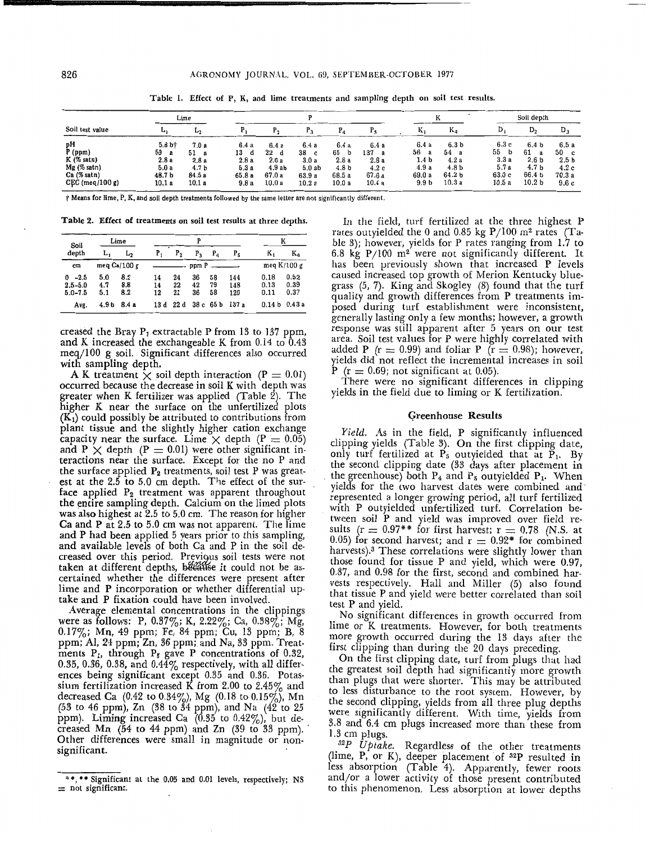| Soil test value                                                                               | Lime                                                            |                                                                          |                                                     |                                                     |                                                      |                                                                 |                                                     |                                                             |                                                                                       |                                                     | Soil depth                                                                                         |                                                                      |  |
|-----------------------------------------------------------------------------------------------|-----------------------------------------------------------------|--------------------------------------------------------------------------|-----------------------------------------------------|-----------------------------------------------------|------------------------------------------------------|-----------------------------------------------------------------|-----------------------------------------------------|-------------------------------------------------------------|---------------------------------------------------------------------------------------|-----------------------------------------------------|----------------------------------------------------------------------------------------------------|----------------------------------------------------------------------|--|
|                                                                                               | $\mathbf{L}_{1}$                                                | ديا                                                                      |                                                     |                                                     |                                                      |                                                                 |                                                     | r.                                                          | $K_4$                                                                                 | D.                                                  | D,                                                                                                 | $\mathbf{D}$                                                         |  |
| pH<br>P (ppm)<br>$K$ (% satn)<br>$Mg$ (% satn)<br>Ca(% <sub>satn</sub> )<br>$CEC$ (meq/100 g) | 5.8 <sub>bt</sub><br>59<br>a<br>2.8a<br>5.0a<br>48.7 b<br>10.1a | 7.0a<br>51<br>$\mathbf{a}$<br>2.8a<br>4.7 <sub>b</sub><br>84.5a<br>10.1a | 6.4 a<br>13<br>d<br>2.8a<br>5.3 a<br>65.8 a<br>9.8a | 6.4a<br>22<br>₫<br>2.6a<br>4.9ab<br>67.0 a<br>10.0a | 6.4a<br>38<br>c.<br>3.0a<br>5.0ab<br>63.9 a<br>10.2a | 6.4 a<br>65<br>b<br>2.8a<br>4.8 <sub>b</sub><br>68.5 a<br>10.0a | 6.4a<br>137<br>a<br>2.8a<br>4.2c<br>67.6 a<br>10.4a | 6.4a<br>56a<br>1.4 b<br>4.9 a<br>69.0 a<br>9.9 <sub>b</sub> | 6.3 <sub>b</sub><br>54<br>a<br>4.2a<br>4.8 <sub>b</sub><br>64.2 <sub>b</sub><br>10.3a | 6.3 с<br>55<br>b<br>3.3a<br>5.7a<br>63.0 c<br>10.5a | 6.4 <sub>b</sub><br>61<br>а<br>2.6 <sub>b</sub><br>4.7 <sub>b</sub><br>66.4 b<br>10.2 <sub>b</sub> | 6.5a<br>50<br><b>c</b><br>2.5 <sub>b</sub><br>4.2c<br>70.3 a<br>9.6c |  |

Table 1. Effect of P, K, and lime treatments and sampling depth on soil test results.

† Means for lime, P, K, and soil depth treatments followed by the same letter are not significantly different.

Table 2. Effect of treatments on soil test results at three depths.

| Soil                                      | Lime              |                   |                |                |                |                |                   |                      |                      |  |
|-------------------------------------------|-------------------|-------------------|----------------|----------------|----------------|----------------|-------------------|----------------------|----------------------|--|
| depth                                     | L,                | L,                | Р,             | Р,             | $P_3$          | $P_{a}$        | P5                | ĸ,                   | Ka                   |  |
| cm                                        | meg $Ca/100 g$    |                   | $ppm P$ $---$  |                |                |                |                   | meq K/100 g          |                      |  |
| $-2.5$<br>0<br>$2.5 - 5.0$<br>$5.0 - 7.5$ | 5.0<br>4.7<br>5.1 | 8.2<br>8.8<br>8.2 | 14<br>14<br>12 | 24<br>22<br>21 | 36<br>42<br>36 | 58<br>79<br>58 | 144<br>148<br>120 | 0.18<br>0.13<br>0.11 | 0.52<br>0.39<br>0.37 |  |
| Avg.                                      | 4.9 <sub>b</sub>  | 8.4 a             | 13 d           | 22d            | 38 с           | 65 b           | 137 a             | 0.14 <sub>b</sub>    | 0.43a                |  |

creased the Bray  $P_1$  extractable P from 13 to 137 ppm, and K increased the exchangeable K from  $0.14$  to  $0.43$ meq/IOO g soil. Significant differences also occurred

A K treatment  $\chi$  soil depth interaction (P = 0.01) occurred because the decrease in soil K with depth was greater when K fertilizer was applied (Table 2). The higher K near the surface on the unfertilized plots  $(K<sub>1</sub>)$  could possibly be attributed to contributions from plant tissue and the slightly higher cation exchange capacity near the surface. Lime  $\times$  depth (P = 0.05) capacity hear the surface. Line  $\times$  depth ( $F = 0.00$ )<br>and  $P \times$  depth ( $P = 0.01$ ) were other significant interactions near the surface. Except for the no P and the surface applied  $P_2$  treatments, soil test P was greatest at the  $2.5$  to  $5.0$  cm depth. The effect of the surface applied  $P_2$  treatment was apparent throughout the entire sampling depth. Calcium on the limed plots was also highest at 2.5 to 5.0 cm. The reason for higher Ca and P at  $2.5$  to  $5.0$  cm was not apparent. The lime and P had been applied 5 years prior to this sampling, and available levels of both Ca and P in the soil decreased over this period. Previous soil tests were not taken at different depths, bécatise it could not be ascertained whether the differences were present after lime and P incorporation or whether differential uptake and P fixation could have been mvolved.

Average elemental concentrations in the clippings were as follows: P, 0.37%; K, 2.22%; Ca, 0.38%; Mg, 0.17%; Mn, 49 ppm; Fe, 84 ppm; Cu, 13 ppm; B, 8 ppm; AI, 24 ppm; Zn, 36 ppm; and Na, 33.ppm. Treatments  $P_1$ , through  $P_5$  gave P concentrations of 0.32, 0.35, 0.36, 0.38, and  $0.44\%$  respectively, with all differences being significant except 0.35 and 0.36. Potassium fertilization increased K from 2.00 to 2.45 $\%$  and decreased Ca  $(0.42 \text{ to } 0.34\%)$ , Mg  $(0.18 \text{ to } 0.15\%)$ , Mn (53 to 46 ppm), Zn (38 to 34 ppm), and Na (42 to 25 ppm). Liming increased Ca  $(0.35$  to  $0.42\%)$ , but decreased Mn  $(54 \text{ to } 44 \text{ ppm})$  and Zn  $(39 \text{ to } 33 \text{ ppm})$ . Other differences were small in magnitude or nonsignificant.

In the field, turf fertilized at the three highest P rates outyielded the 0 and 0.85 kg  $P/100~{\rm m}^2$  rates (Table 3); however, yields for P rates ranging from  $1.7$  to 6.8 kg  $P/100$  m<sup>2</sup> were not significantly different. It has been previously shown that increased P levels caused increased top growth of Merion Kentucky bluegrass (5, 7). King and Skogley (8) found that the turf quality and growth differences from P treatments imposed during turf establishment were inconsistent, generally lasting only a few months; however, a growth response was still apparent after 5 years on our test area. Soil test values for P were lughly correlated With added P ( $r = 0.99$ ) and foliar P ( $r = 0.98$ ); however, yields did not reflect the incremental increases in soil  $P(r = 0.69)$ ; not significant at 0.05).

There were no significant differences in clipping yields in the field due to liming or K fertilization.

### Greenhouse Results

*Yield.* As in the field, P significantly influenced clipping yields (Table 3). On the first clipping date, only turf fertilized at  $P_5$  outyielded that at  $P_1$ . By the second clipping date (33 days after placement in the greenhouse) both  $P_4$  and  $P_5$  outyielded  $P_1$ . When yields for the two harvest dates were combined and represented a longer growing period, all turf fertilized with P outyielded unfertilized turf. Correlation between soil P and yield was improved over field results ( $r = 0.97**$  for first harvest;  $r = 0.78$  (N.S. at 0.05) for second harvest; and  $r = 0.92*$  for combined harvests).3 These correlations were slightly lower than those found for tissue P and yield, which were 0.97, 0.87, and 0.98 for the first, second and combined harvests respectively. Hall and Miller (5) also found that tissue P and yield were better correlated than soil test P and yield.

No significant differences in growth occurred from lime or K treatments. However, for both treatments more growth occurred during the 13 days after the first clipping than during the 20 days preceding.

On the first clipping date, turf from plugs that had the greatest soil depth had significantly more growth than plugs that were shorter. This may be attributed to less disturbance to the root system. However, by the second clipping, yields from all three plug depths were significantly different. With time, yields from 3.8 and 6.4 em plugs increased more than these from 1.3 em plugs.

<sup>32</sup>P Uptake. Regardless of the other treatments (lime, P, or K), deeper placement of <sup>32</sup>P resulted in less absorption (Table 4). Apparently, fewer roots and/or a lower activity of those present contributed to this phenomenon. Less absorption at lower depths

<sup>&</sup>lt;sup>3</sup> \*, \*\* Significant at the 0.05 and 0.01 levels, respectively; NS  $=$  not significant.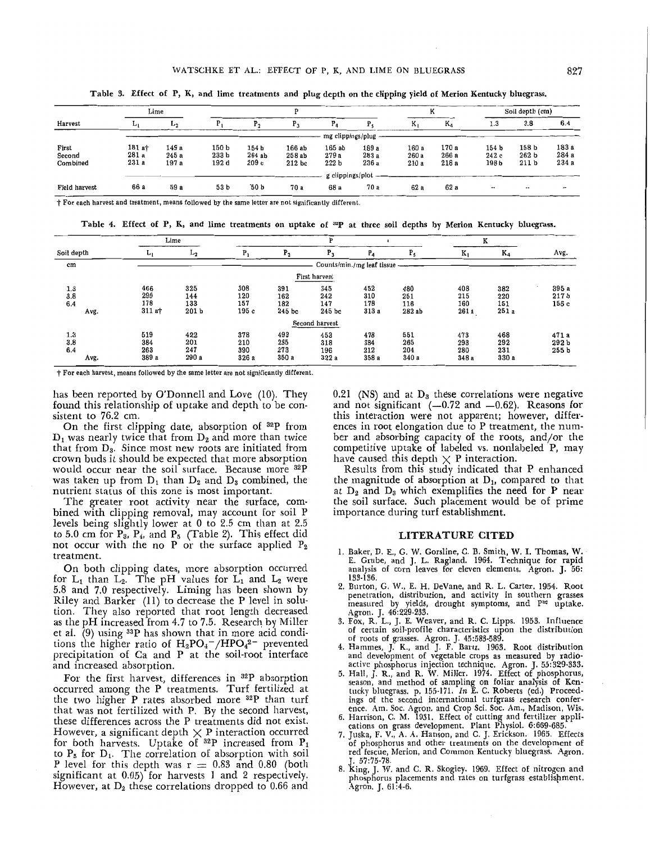|                             |                          | Lime                   |                                    | D                                 |                             |                                   |                        |                        | K                       |                                   | Soil depth (cm)                    |                         |  |
|-----------------------------|--------------------------|------------------------|------------------------------------|-----------------------------------|-----------------------------|-----------------------------------|------------------------|------------------------|-------------------------|-----------------------------------|------------------------------------|-------------------------|--|
| Harvest                     | Aa t                     | <b>Lo</b>              |                                    |                                   | $P_3$                       | $P_{a}$                           |                        | ĸ,                     | K,                      | 1.3                               | 3.8                                | 6.4                     |  |
|                             |                          | mg clippings/plug      |                                    |                                   |                             |                                   |                        |                        |                         |                                   |                                    |                         |  |
| First<br>Second<br>Combined | 181 at<br>281 a<br>231 a | 149 a<br>245a<br>197 a | 150 b<br>233 <sub>b</sub><br>192 d | 154 <sub>b</sub><br>264ab<br>209c | 166 ab<br>258ab<br>$212$ bc | 165ab<br>279a<br>222 <sub>b</sub> | 189 a<br>283 a<br>236a | 160 a<br>260 a<br>210a | 170 a<br>266 a<br>218 a | 154 <sub>b</sub><br>242c<br>198 b | 158 b<br>262 b<br>211 <sub>b</sub> | 183 а<br>284 a<br>234 a |  |
|                             |                          | g clippings/plot       |                                    |                                   |                             |                                   |                        |                        |                         |                                   |                                    |                         |  |
| Field harvest               | 66 a                     | 59 a                   | 53 b                               | `50 b                             | 70 a                        | 68 a                              | 70 a                   | 62 a                   | 62a                     |                                   |                                    | $\mathbf{r}$            |  |

Table 3. Effect of P, K, and lime treatments and plug depth on the clipping yield of Merion Kentucky bluegrass.

t For each harvest and treatment, means followed by the same letter are not significantly different.

Table 4. Effect of P, K, and lime treatments on uptake of <sup>32</sup>P at three soil depths by Merion Kentucky bluegrass.

|                           | Lime                         |                                       |                            |                               |                             |                            |                             | ĸ                          |                            |                                    |
|---------------------------|------------------------------|---------------------------------------|----------------------------|-------------------------------|-----------------------------|----------------------------|-----------------------------|----------------------------|----------------------------|------------------------------------|
| Soil depth                | <b>L</b>                     | L <sub>2</sub>                        | $P_1$                      | $P_{2}$                       | $P_3$                       | $P_{4}$                    | $P_5$                       | $K_1$                      | $K_4$                      | Avg.                               |
| cm                        | Counts/min./mg leaf tissue - |                                       |                            |                               |                             |                            |                             |                            |                            |                                    |
|                           |                              |                                       |                            |                               | First harvest               |                            |                             |                            |                            |                                    |
| 1.3<br>3.8<br>6.4<br>Avg. | 466<br>290<br>178<br>311a    | 325<br>144<br>133<br>201 <sub>b</sub> | 308<br>120<br>157<br>195c  | 391<br>162<br>182<br>$245$ bc | 345<br>242<br>147<br>245 bc | 452<br>310<br>178<br>313a  | 480<br>251<br>116<br>282 ab | 408<br>215<br>160<br>261 a | 382<br>220<br>151<br>251 a | 395 a<br>217 <sub>b</sub><br>156 с |
|                           |                              |                                       |                            |                               | Second harvest              |                            |                             |                            |                            |                                    |
| 1.3<br>3.8<br>6.4<br>Avg. | 519<br>384<br>263<br>389 a   | 422<br>201<br>247<br>290 а            | 378<br>210<br>390<br>326 a | 493<br>285<br>273<br>350 a    | 453<br>318<br>196<br>322a   | 478<br>384<br>212<br>358 a | 551<br>265<br>204<br>340 a  | 473<br>293<br>280<br>348 a | 468<br>292<br>231<br>330 a | 471 a<br>292 b<br>255 <sub>b</sub> |

t For each harvest, means followed by the same letter are not significantly different.

has been reported by O'Donnell and Love (10). They found this relationship of uptake and depth to be consistent to 76.2 em.

On the first clipping date, absorption of <sup>32</sup>P from  $D_1$  was nearly twice that from  $D_2$  and more than twice that from  $D_3$ . Since most new roots are initiated from crown buds it should be expected that more absorption would occur near the soil surface. Because more <sup>32</sup>P was taken up from  $D_1$  than  $D_2$  and  $D_3$  combined, the nutrient status of this zone is most important.

The greater root activity near the surface, com· bined with clipping removal, may account for soil P levels being' slightly lower at 0 to 2.5 cm than at 2.5 to 5.0 cm for  $P_3$ ,  $P_4$ , and  $P_5$  (Table 2). This effect did not occur with the no P or the surface applied  $P_2$ treatment.

On both clipping dates, more absorption occurred for  $L_1$  than  $L_2$ . The pH values for  $L_1$  and  $L_2$  were 5.8 and 7.0 respectively. Liming has been shown by Riley and Barker (II) to decrease the P level in solution. They also reported that root length decreased as the pH increased from 4.7 to 7.5. Research by Miller et al.  $(9)$  using <sup>33</sup>P has shown that in more acid conditions the higher ratio of  $H_2PO_4^-/HPO_4^2^-$  prevented precipitation of Ca and P at the soil-root interface and increased absorption.

For the first harvest, differences in <sup>32</sup>P absorption occurred among the P treatments. Turf fertilized at the two higher  $P$  rates absorbed more  $32P$  than turf that was not fertilized with P. By the second harvest, these differences across the P treatments did not exist. However, a significant depth  $\times$  P interaction occurred for both harvests. Uptake of  ${}^{32}P$  increased from  $P_1$ to  $P_5$  for  $D_1$ . The correlation of absorption with soil P level for this depth was  $r = 0.83$  and 0.80 (both significant at 0.05) for harvests 1 and 2 respectively. However, at  $D_2$  these correlations dropped to 0.66 and 0.21 (NS) and at  $D_3$  these correlations were negative and not significant  $(-0.72 \text{ and } -0.62)$ . Reasons for this interaction were not apparent; however, differences in root elongation due to P treatment, the number and absorbing capacity of the roots, and/or the competitive uptake of labeled vs. nonlabeled P, may have caused this depth  $\times$  P interaction.

Results from this study indicated that P enhanced the magnitude of absorption at  $D_1$ , compared to that at  $D_2$  and  $D_3$  which exemplifies the need for P near the soil surface. Such placement would be of prime importance during turf establishment.

## LITERATURE CITED

- 1. Baker, D. E., G. W. Gorsline, C. B. Smith, W. 1. Thomas, W. E. Grube, and J. L. Ragland. 1964. Technique for rapid analysis of corn leaves for eleven elements. Agron. J. 56: 133-136.
- 2. Burton, G. *W.,* E. H. DeVane, and R. L. Carter. 1954. Root penetration, distribution. and activity in southern grasses measured by yields, drought symptoms, and P<sup>82</sup> uptake.
- Agron. J. 46:229·233. 3. Fox, R. L., J. E. Weaver, and R. C. Lipps. 1953. Influence of certain soil-profile characteristics upon the distribution of roots of grasses. Agron. J. 45:583-589.
- 4. Hammes, J. K., and J. F. Bartz. 1963. Root distribution and development of vegetable crops as measured by radioactive phosphorus injection technique. Agron. J. 55: 329-333.
- 5. Hall, J. R., and R. W. Miller. 1974. Effect of phosphorus, season, and method of sampling on foliar analysis of Ken-tucky bluegrass. p. 155·171. *In* E. C. Roberts (ed.) Proceedings of the second international turfgrass research conference. Am. Soc. Agron. and Crop Sci. Soc. Am., Madison, Wis.
- 6. Harrison, C. M. 1931. Effect of cutting and fertilizer appli-
- cations on grass development. Plant Physio!. 6:669-685. 7. Juska, F. V., A. A. Hanson, and C. J. Erickson. 1965. Effects of phosphorus and other treatments on the development of red fescue, Merion, and Common Kentucky bluegrass. Agron. J. 57:75-78.
- 8. King, J. W. and C. R. Skogiey. 1969. Effect of nitrogen and phosphorus placements and rates on turfgrass establispment. Agron. J. 61:4-6.